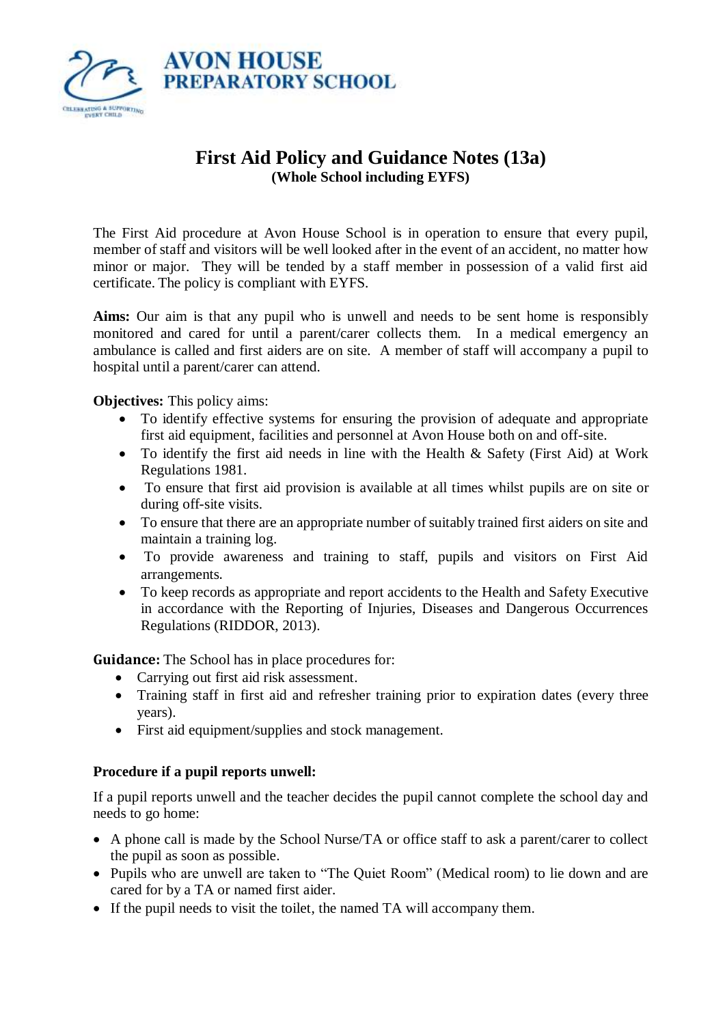

# **First Aid Policy and Guidance Notes (13a) (Whole School including EYFS)**

The First Aid procedure at Avon House School is in operation to ensure that every pupil, member of staff and visitors will be well looked after in the event of an accident, no matter how minor or major. They will be tended by a staff member in possession of a valid first aid certificate. The policy is compliant with EYFS.

**Aims:** Our aim is that any pupil who is unwell and needs to be sent home is responsibly monitored and cared for until a parent/carer collects them. In a medical emergency an ambulance is called and first aiders are on site. A member of staff will accompany a pupil to hospital until a parent/carer can attend.

**Objectives:** This policy aims:

- To identify effective systems for ensuring the provision of adequate and appropriate first aid equipment, facilities and personnel at Avon House both on and off-site.
- To identify the first aid needs in line with the Health & Safety (First Aid) at Work Regulations 1981.
- To ensure that first aid provision is available at all times whilst pupils are on site or during off-site visits.
- To ensure that there are an appropriate number of suitably trained first aiders on site and maintain a training log.
- To provide awareness and training to staff, pupils and visitors on First Aid arrangements.
- To keep records as appropriate and report accidents to the Health and Safety Executive in accordance with the Reporting of Injuries, Diseases and Dangerous Occurrences Regulations (RIDDOR, 2013).

**Guidance:** The School has in place procedures for:

- Carrying out first aid risk assessment.
- Training staff in first aid and refresher training prior to expiration dates (every three years).
- First aid equipment/supplies and stock management.

## **Procedure if a pupil reports unwell:**

If a pupil reports unwell and the teacher decides the pupil cannot complete the school day and needs to go home:

- A phone call is made by the School Nurse/TA or office staff to ask a parent/carer to collect the pupil as soon as possible.
- Pupils who are unwell are taken to "The Quiet Room" (Medical room) to lie down and are cared for by a TA or named first aider.
- If the pupil needs to visit the toilet, the named TA will accompany them.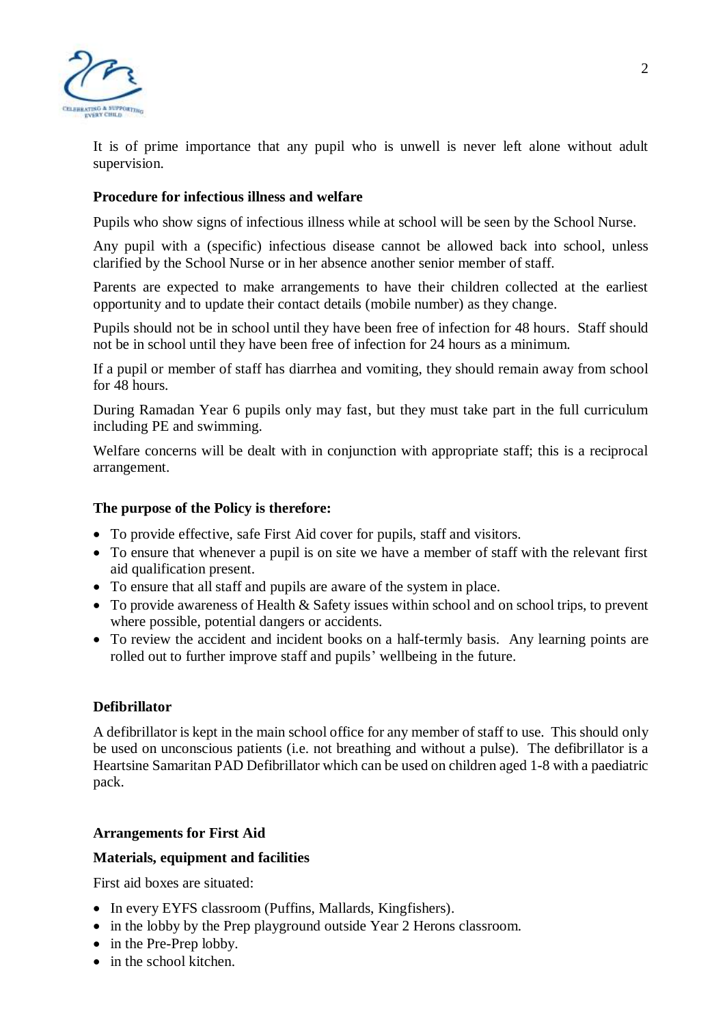

It is of prime importance that any pupil who is unwell is never left alone without adult supervision.

#### **Procedure for infectious illness and welfare**

Pupils who show signs of infectious illness while at school will be seen by the School Nurse.

Any pupil with a (specific) infectious disease cannot be allowed back into school, unless clarified by the School Nurse or in her absence another senior member of staff.

Parents are expected to make arrangements to have their children collected at the earliest opportunity and to update their contact details (mobile number) as they change.

Pupils should not be in school until they have been free of infection for 48 hours. Staff should not be in school until they have been free of infection for 24 hours as a minimum.

If a pupil or member of staff has diarrhea and vomiting, they should remain away from school for 48 hours.

During Ramadan Year 6 pupils only may fast, but they must take part in the full curriculum including PE and swimming.

Welfare concerns will be dealt with in conjunction with appropriate staff; this is a reciprocal arrangement.

#### **The purpose of the Policy is therefore:**

- To provide effective, safe First Aid cover for pupils, staff and visitors.
- To ensure that whenever a pupil is on site we have a member of staff with the relevant first aid qualification present.
- To ensure that all staff and pupils are aware of the system in place.
- To provide awareness of Health & Safety issues within school and on school trips, to prevent where possible, potential dangers or accidents.
- To review the accident and incident books on a half-termly basis. Any learning points are rolled out to further improve staff and pupils' wellbeing in the future.

#### **Defibrillator**

A defibrillator is kept in the main school office for any member of staff to use. This should only be used on unconscious patients (i.e. not breathing and without a pulse). The defibrillator is a Heartsine Samaritan PAD Defibrillator which can be used on children aged 1-8 with a paediatric pack.

#### **Arrangements for First Aid**

#### **Materials, equipment and facilities**

First aid boxes are situated:

- In every EYFS classroom (Puffins, Mallards, Kingfishers).
- in the lobby by the Prep playground outside Year 2 Herons classroom.
- in the Pre-Prep lobby.
- in the school kitchen.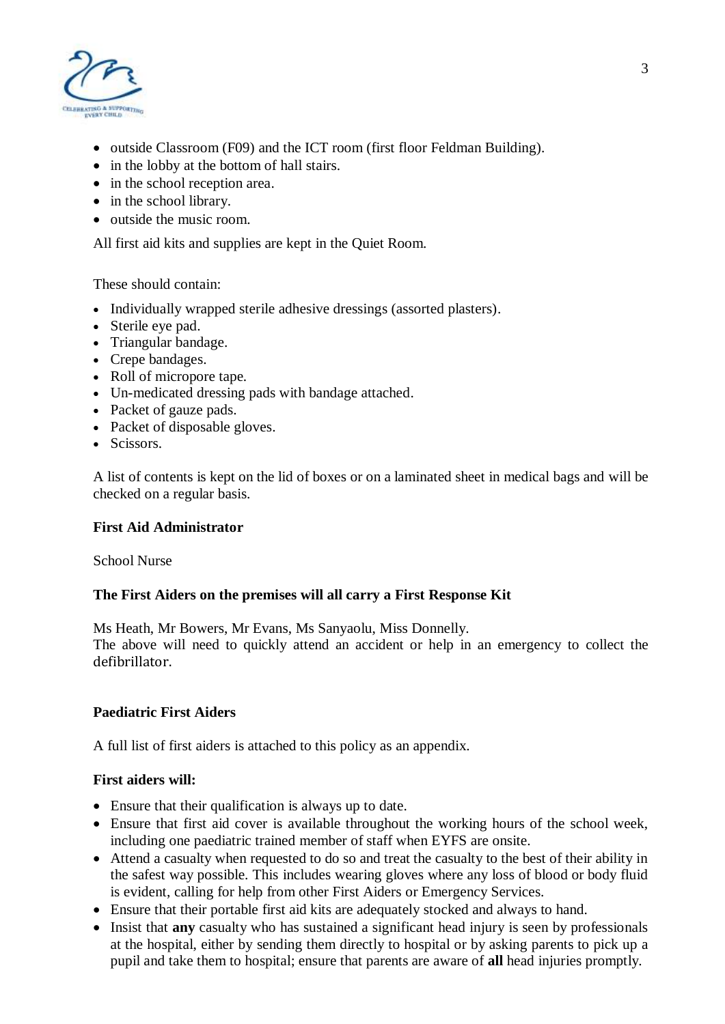

- outside Classroom (F09) and the ICT room (first floor Feldman Building).
- in the lobby at the bottom of hall stairs.
- in the school reception area.
- in the school library.
- outside the music room.

All first aid kits and supplies are kept in the Quiet Room.

These should contain:

- Individually wrapped sterile adhesive dressings (assorted plasters).
- Sterile eye pad.
- Triangular bandage.
- Crepe bandages.
- Roll of micropore tape.
- Un-medicated dressing pads with bandage attached.
- Packet of gauze pads.
- Packet of disposable gloves.
- Scissors.

A list of contents is kept on the lid of boxes or on a laminated sheet in medical bags and will be checked on a regular basis.

#### **First Aid Administrator**

School Nurse

#### **The First Aiders on the premises will all carry a First Response Kit**

Ms Heath, Mr Bowers, Mr Evans, Ms Sanyaolu, Miss Donnelly.

The above will need to quickly attend an accident or help in an emergency to collect the defibrillator.

#### **Paediatric First Aiders**

A full list of first aiders is attached to this policy as an appendix.

#### **First aiders will:**

- Ensure that their qualification is always up to date.
- Ensure that first aid cover is available throughout the working hours of the school week, including one paediatric trained member of staff when EYFS are onsite.
- Attend a casualty when requested to do so and treat the casualty to the best of their ability in the safest way possible. This includes wearing gloves where any loss of blood or body fluid is evident, calling for help from other First Aiders or Emergency Services.
- Ensure that their portable first aid kits are adequately stocked and always to hand.
- Insist that **any** casualty who has sustained a significant head injury is seen by professionals at the hospital, either by sending them directly to hospital or by asking parents to pick up a pupil and take them to hospital; ensure that parents are aware of **all** head injuries promptly.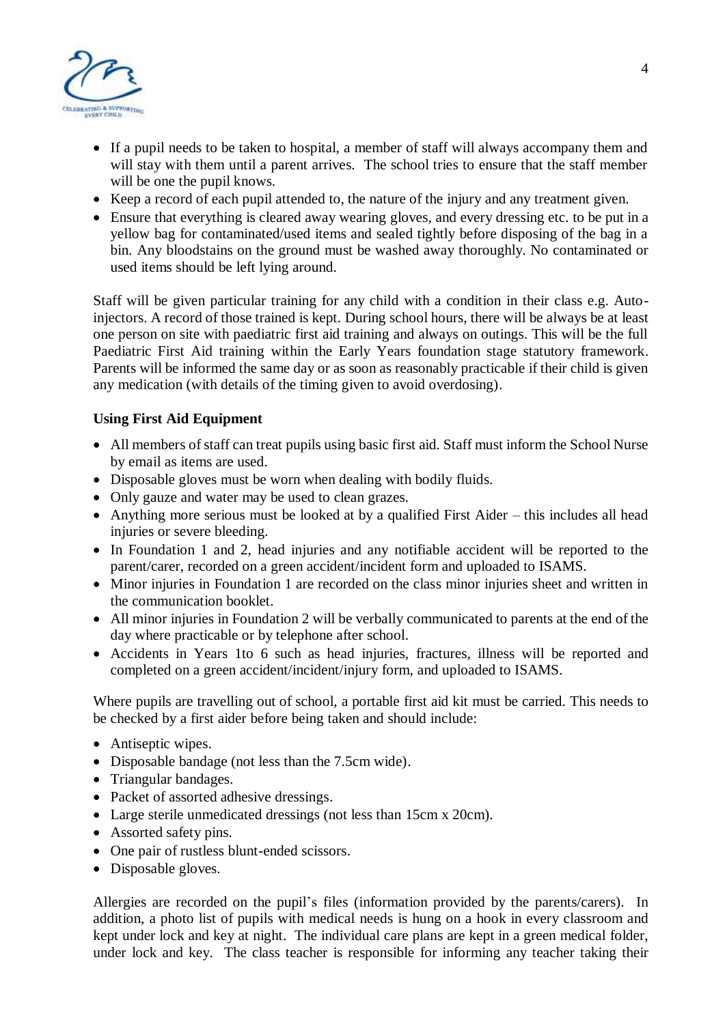

- If a pupil needs to be taken to hospital, a member of staff will always accompany them and will stay with them until a parent arrives. The school tries to ensure that the staff member will be one the pupil knows.
- Keep a record of each pupil attended to, the nature of the injury and any treatment given.
- Ensure that everything is cleared away wearing gloves, and every dressing etc. to be put in a yellow bag for contaminated/used items and sealed tightly before disposing of the bag in a bin. Any bloodstains on the ground must be washed away thoroughly. No contaminated or used items should be left lying around.

Staff will be given particular training for any child with a condition in their class e.g. Autoinjectors. A record of those trained is kept. During school hours, there will be always be at least one person on site with paediatric first aid training and always on outings. This will be the full Paediatric First Aid training within the Early Years foundation stage statutory framework. Parents will be informed the same day or as soon as reasonably practicable if their child is given any medication (with details of the timing given to avoid overdosing).

#### **Using First Aid Equipment**

- All members of staff can treat pupils using basic first aid. Staff must inform the School Nurse by email as items are used.
- Disposable gloves must be worn when dealing with bodily fluids.
- Only gauze and water may be used to clean grazes.
- Anything more serious must be looked at by a qualified First Aider this includes all head injuries or severe bleeding.
- In Foundation 1 and 2, head injuries and any notifiable accident will be reported to the parent/carer, recorded on a green accident/incident form and uploaded to ISAMS.
- Minor injuries in Foundation 1 are recorded on the class minor injuries sheet and written in the communication booklet.
- All minor injuries in Foundation 2 will be verbally communicated to parents at the end of the day where practicable or by telephone after school.
- Accidents in Years 1to 6 such as head injuries, fractures, illness will be reported and completed on a green accident/incident/injury form, and uploaded to ISAMS.

Where pupils are travelling out of school, a portable first aid kit must be carried. This needs to be checked by a first aider before being taken and should include:

- Antiseptic wipes.
- Disposable bandage (not less than the 7.5cm wide).
- Triangular bandages.
- Packet of assorted adhesive dressings.
- Large sterile unmedicated dressings (not less than 15cm x 20cm).
- Assorted safety pins.
- One pair of rustless blunt-ended scissors.
- Disposable gloves.

Allergies are recorded on the pupil's files (information provided by the parents/carers). In addition, a photo list of pupils with medical needs is hung on a hook in every classroom and kept under lock and key at night. The individual care plans are kept in a green medical folder, under lock and key. The class teacher is responsible for informing any teacher taking their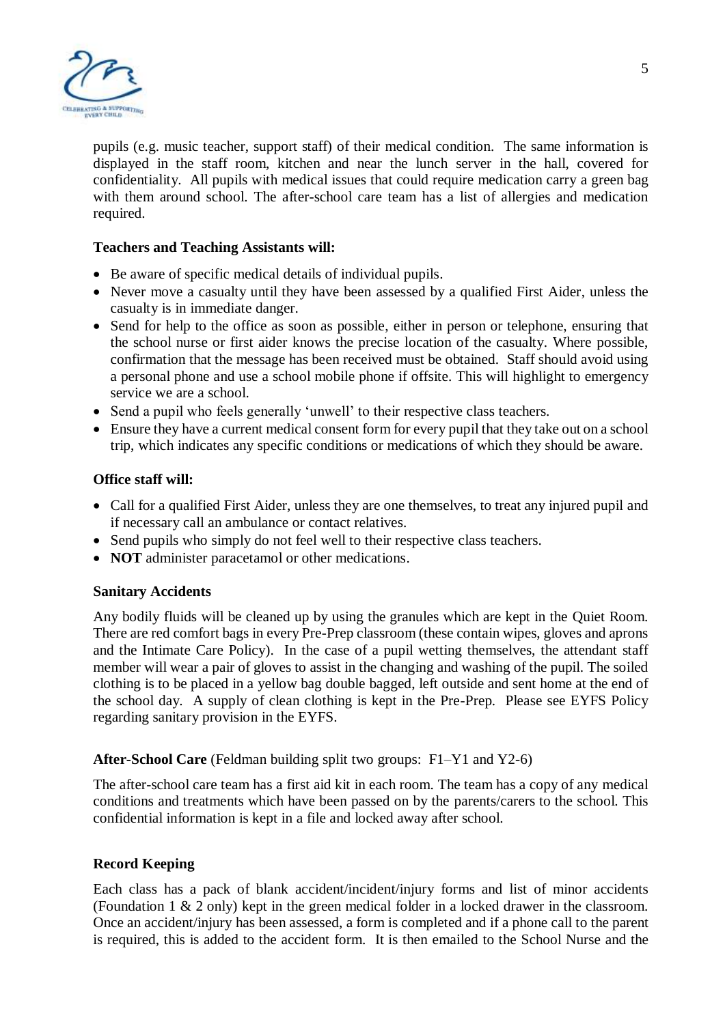

pupils (e.g. music teacher, support staff) of their medical condition. The same information is displayed in the staff room, kitchen and near the lunch server in the hall, covered for confidentiality. All pupils with medical issues that could require medication carry a green bag with them around school. The after-school care team has a list of allergies and medication required.

#### **Teachers and Teaching Assistants will:**

- Be aware of specific medical details of individual pupils.
- Never move a casualty until they have been assessed by a qualified First Aider, unless the casualty is in immediate danger.
- Send for help to the office as soon as possible, either in person or telephone, ensuring that the school nurse or first aider knows the precise location of the casualty. Where possible, confirmation that the message has been received must be obtained. Staff should avoid using a personal phone and use a school mobile phone if offsite. This will highlight to emergency service we are a school.
- Send a pupil who feels generally 'unwell' to their respective class teachers.
- Ensure they have a current medical consent form for every pupil that they take out on a school trip, which indicates any specific conditions or medications of which they should be aware.

#### **Office staff will:**

- Call for a qualified First Aider, unless they are one themselves, to treat any injured pupil and if necessary call an ambulance or contact relatives.
- Send pupils who simply do not feel well to their respective class teachers.
- **NOT** administer paracetamol or other medications.

#### **Sanitary Accidents**

Any bodily fluids will be cleaned up by using the granules which are kept in the Quiet Room. There are red comfort bags in every Pre-Prep classroom (these contain wipes, gloves and aprons and the Intimate Care Policy). In the case of a pupil wetting themselves, the attendant staff member will wear a pair of gloves to assist in the changing and washing of the pupil. The soiled clothing is to be placed in a yellow bag double bagged, left outside and sent home at the end of the school day. A supply of clean clothing is kept in the Pre-Prep. Please see EYFS Policy regarding sanitary provision in the EYFS.

**After-School Care** (Feldman building split two groups: F1–Y1 and Y2-6)

The after-school care team has a first aid kit in each room. The team has a copy of any medical conditions and treatments which have been passed on by the parents/carers to the school. This confidential information is kept in a file and locked away after school.

## **Record Keeping**

Each class has a pack of blank accident/incident/injury forms and list of minor accidents (Foundation 1 & 2 only) kept in the green medical folder in a locked drawer in the classroom. Once an accident/injury has been assessed, a form is completed and if a phone call to the parent is required, this is added to the accident form. It is then emailed to the School Nurse and the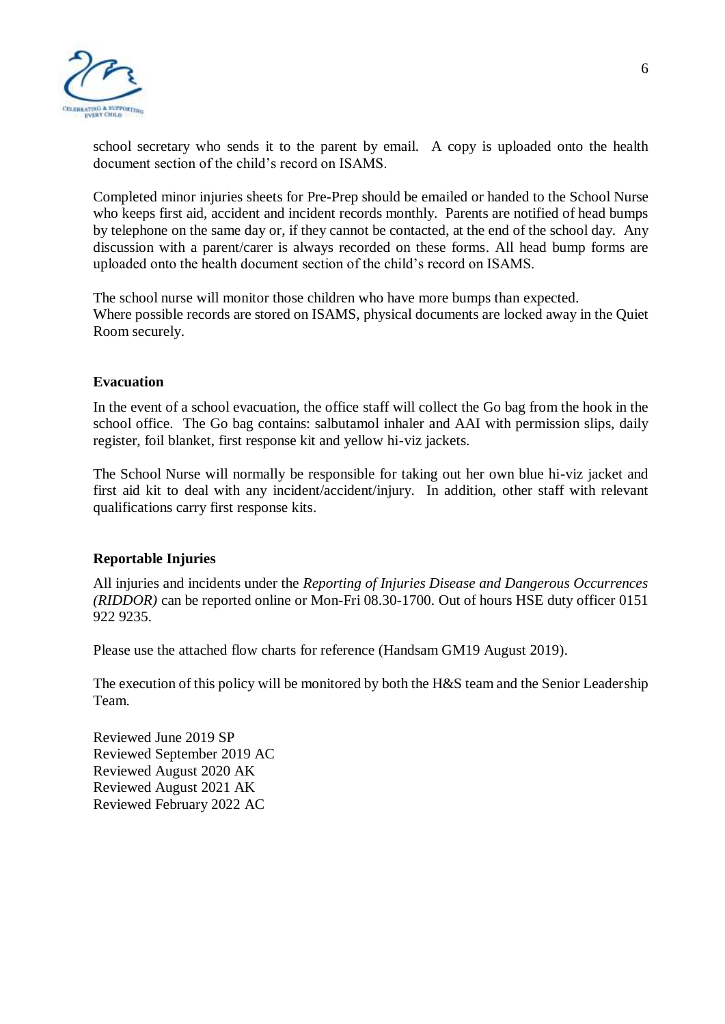

school secretary who sends it to the parent by email. A copy is uploaded onto the health document section of the child's record on ISAMS.

Completed minor injuries sheets for Pre-Prep should be emailed or handed to the School Nurse who keeps first aid, accident and incident records monthly. Parents are notified of head bumps by telephone on the same day or, if they cannot be contacted, at the end of the school day. Any discussion with a parent/carer is always recorded on these forms. All head bump forms are uploaded onto the health document section of the child's record on ISAMS.

The school nurse will monitor those children who have more bumps than expected. Where possible records are stored on ISAMS, physical documents are locked away in the Quiet Room securely.

#### **Evacuation**

In the event of a school evacuation, the office staff will collect the Go bag from the hook in the school office. The Go bag contains: salbutamol inhaler and AAI with permission slips, daily register, foil blanket, first response kit and yellow hi-viz jackets.

The School Nurse will normally be responsible for taking out her own blue hi-viz jacket and first aid kit to deal with any incident/accident/injury. In addition, other staff with relevant qualifications carry first response kits.

#### **Reportable Injuries**

All injuries and incidents under the *Reporting of Injuries Disease and Dangerous Occurrences (RIDDOR)* can be reported online or Mon-Fri 08.30-1700. Out of hours HSE duty officer 0151 922 9235.

Please use the attached flow charts for reference (Handsam GM19 August 2019).

The execution of this policy will be monitored by both the H&S team and the Senior Leadership Team.

Reviewed June 2019 SP Reviewed September 2019 AC Reviewed August 2020 AK Reviewed August 2021 AK Reviewed February 2022 AC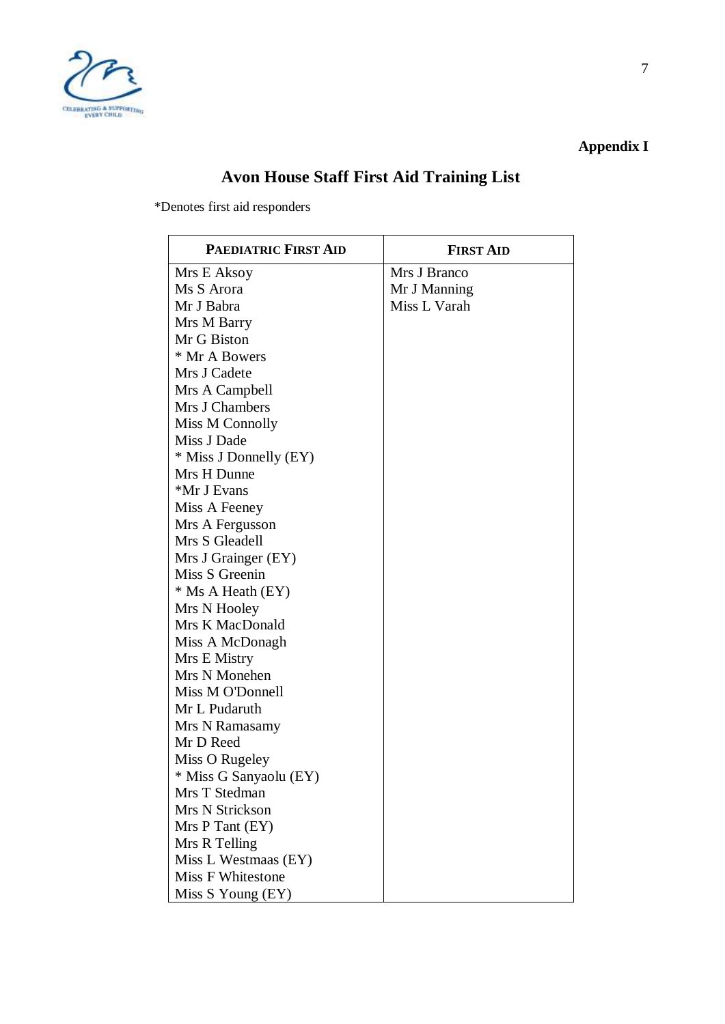

**Appendix I**

# **Avon House Staff First Aid Training List**

\*Denotes first aid responders

| <b>PAEDIATRIC FIRST AID</b> | <b>FIRST AID</b> |
|-----------------------------|------------------|
| Mrs E Aksoy                 | Mrs J Branco     |
| Ms S Arora                  | Mr J Manning     |
| Mr J Babra                  | Miss L Varah     |
| Mrs M Barry                 |                  |
| Mr G Biston                 |                  |
| * Mr A Bowers               |                  |
| Mrs J Cadete                |                  |
| Mrs A Campbell              |                  |
| Mrs J Chambers              |                  |
| Miss M Connolly             |                  |
| Miss J Dade                 |                  |
| * Miss J Donnelly (EY)      |                  |
| Mrs H Dunne                 |                  |
| *Mr J Evans                 |                  |
| Miss A Feeney               |                  |
| Mrs A Fergusson             |                  |
| Mrs S Gleadell              |                  |
| Mrs J Grainger (EY)         |                  |
| Miss S Greenin              |                  |
| * Ms A Heath (EY)           |                  |
| Mrs N Hooley                |                  |
| Mrs K MacDonald             |                  |
| Miss A McDonagh             |                  |
| Mrs E Mistry                |                  |
| Mrs N Monehen               |                  |
| Miss M O'Donnell            |                  |
| Mr L Pudaruth               |                  |
| Mrs N Ramasamy              |                  |
| Mr D Reed                   |                  |
| Miss O Rugeley              |                  |
| * Miss G Sanyaolu (EY)      |                  |
| Mrs T Stedman               |                  |
| Mrs N Strickson             |                  |
| Mrs P Tant (EY)             |                  |
| Mrs R Telling               |                  |
| Miss L Westmaas (EY)        |                  |
| <b>Miss F Whitestone</b>    |                  |
| Miss S Young (EY)           |                  |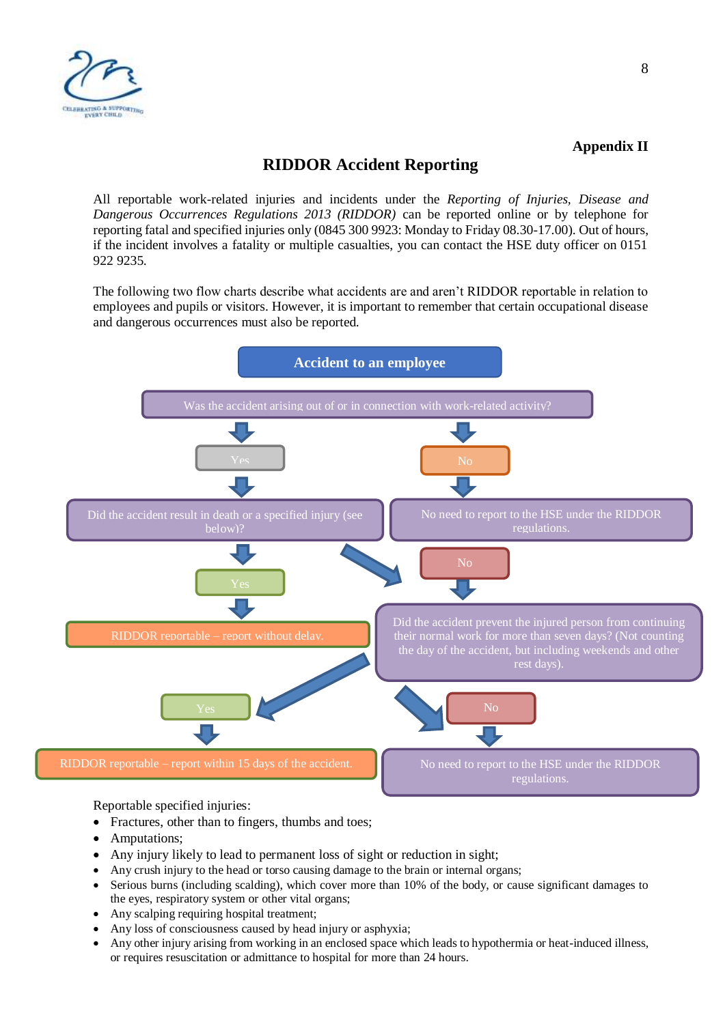

### **Appendix II**

# **RIDDOR Accident Reporting**

All reportable work-related injuries and incidents under the *Reporting of Injuries, Disease and Dangerous Occurrences Regulations 2013 (RIDDOR)* can be reported online or by telephone for reporting fatal and specified injuries only (0845 300 9923: Monday to Friday 08.30-17.00). Out of hours, if the incident involves a fatality or multiple casualties, you can contact the HSE duty officer on 0151 922 9235.

The following two flow charts describe what accidents are and aren't RIDDOR reportable in relation to employees and pupils or visitors. However, it is important to remember that certain occupational disease and dangerous occurrences must also be reported.



Reportable specified injuries:

- Fractures, other than to fingers, thumbs and toes;
- Amputations;
- Any injury likely to lead to permanent loss of sight or reduction in sight;
- Any crush injury to the head or torso causing damage to the brain or internal organs;
- Serious burns (including scalding), which cover more than 10% of the body, or cause significant damages to the eyes, respiratory system or other vital organs;
- Any scalping requiring hospital treatment;
- Any loss of consciousness caused by head injury or asphyxia;
- Any other injury arising from working in an enclosed space which leads to hypothermia or heat-induced illness, or requires resuscitation or admittance to hospital for more than 24 hours.